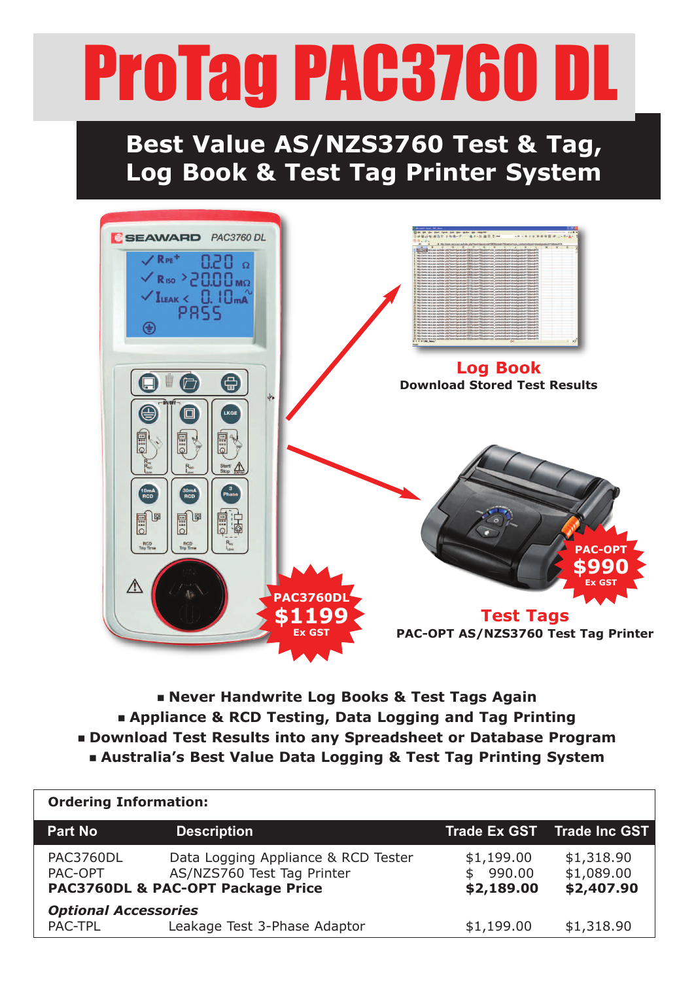## ProTag PAC3760 DL

## **Best Value AS/NZS3760 Test & Tag, Log Book & Test Tag Printer System**



n **Never Handwrite Log Books & Test Tags Again** n **Appliance & RCD Testing, Data Logging and Tag Printing** n **Download Test Results into any Spreadsheet or Database Program**

n **Australia's Best Value Data Logging & Test Tag Printing System**

| <b>Ordering Information:</b>                  |                                                                                                        |                                           |                                        |
|-----------------------------------------------|--------------------------------------------------------------------------------------------------------|-------------------------------------------|----------------------------------------|
| <b>Part No</b>                                | <b>Description</b>                                                                                     |                                           | <b>Trade Ex GST</b> Trade Inc GST      |
| PAC3760DL<br>PAC-OPT                          | Data Logging Appliance & RCD Tester<br>AS/NZS760 Test Tag Printer<br>PAC3760DL & PAC-OPT Package Price | \$1,199.00<br>990.00<br>\$.<br>\$2,189.00 | \$1,318.90<br>\$1,089.00<br>\$2,407.90 |
| <b>Optional Accessories</b><br><b>PAC-TPL</b> | Leakage Test 3-Phase Adaptor                                                                           | \$1,199.00                                | \$1,318.90                             |